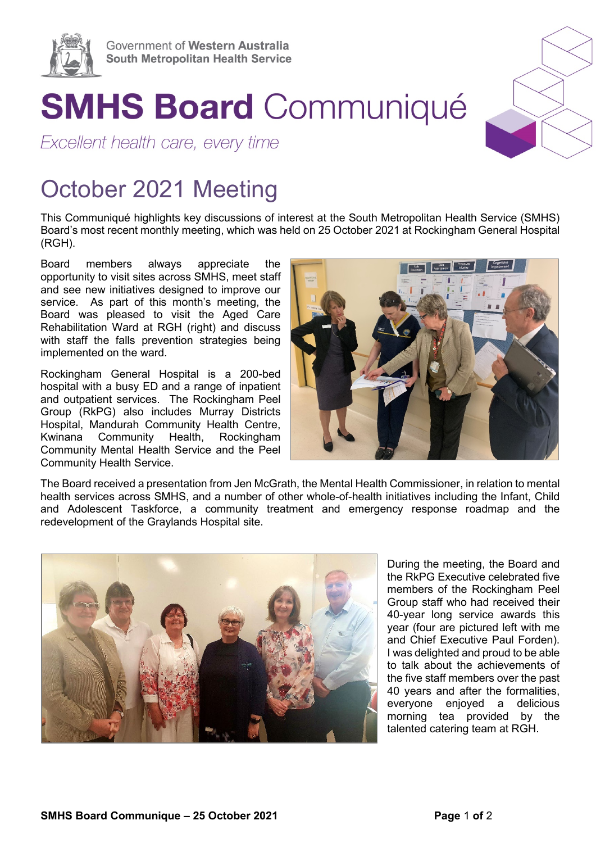

## **SMHS Board Communiqué**

Excellent health care, every time

## October 2021 Meeting

This Communiqué highlights key discussions of interest at the South Metropolitan Health Service (SMHS) Board's most recent monthly meeting, which was held on 25 October 2021 at Rockingham General Hospital (RGH).

Board members always appreciate the opportunity to visit sites across SMHS, meet staff and see new initiatives designed to improve our service. As part of this month's meeting, the Board was pleased to visit the Aged Care Rehabilitation Ward at RGH (right) and discuss with staff the falls prevention strategies being implemented on the ward.

Rockingham General Hospital is a 200-bed hospital with a busy ED and a range of inpatient and outpatient services. The Rockingham Peel Group (RkPG) also includes Murray Districts Hospital, Mandurah Community Health Centre, Kwinana Community Health, Rockingham Community Mental Health Service and the Peel Community Health Service.



The Board received a presentation from Jen McGrath, the Mental Health Commissioner, in relation to mental health services across SMHS, and a number of other whole-of-health initiatives including the Infant, Child and Adolescent Taskforce, a community treatment and emergency response roadmap and the redevelopment of the Graylands Hospital site.



During the meeting, the Board and the RkPG Executive celebrated five members of the Rockingham Peel Group staff who had received their 40-year long service awards this year (four are pictured left with me and Chief Executive Paul Forden). I was delighted and proud to be able to talk about the achievements of the five staff members over the past 40 years and after the formalities, everyone enjoyed a delicious morning tea provided by the talented catering team at RGH.